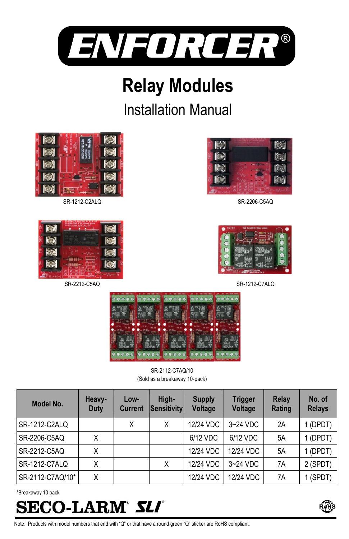

# **Relay Modules**

# Installation Manual



SR-1212-C2ALQ



SR-2212-C5AQ



SR-2206-C5AQ



SR-1212-C7ALQ



SR-2112-C7AQ/10 (Sold as a breakaway 10-pack)

| Model No.           | Heavy-<br>Duty | Low-<br><b>Current</b> | High-<br>Sensitivity | <b>Supply</b><br>Voltage | <b>Trigger</b><br>Voltage | Relay<br>Rating | No. of<br><b>Relays</b> |
|---------------------|----------------|------------------------|----------------------|--------------------------|---------------------------|-----------------|-------------------------|
| SR-1212-C2ALQ       |                | Χ                      |                      | 12/24 VDC                | $3 - 24$ VDC              | 2A              | (DPDT)                  |
| <b>SR-2206-C5AQ</b> | Χ              |                        |                      | 6/12 VDC                 | 6/12 VDC                  | 5A              | (DPDT)                  |
| SR-2212-C5AQ        | Χ              |                        |                      | 12/24 VDC                | 12/24 VDC                 | 5A              | (DPDT)                  |
| SR-1212-C7ALQ       | Χ              |                        |                      | 12/24 VDC                | $3-24$ VDC                | 7A              | 2 (SPDT)                |
| SR-2112-C7AQ/10*    | Χ              |                        |                      | 12/24 VDC                | 12/24 VDC                 | 7A              | 1 (SPDT)                |

\*Breakaway 10 pack





Note: Products with model numbers that end with "Q" or that have a round green "Q" sticker are RoHS compliant.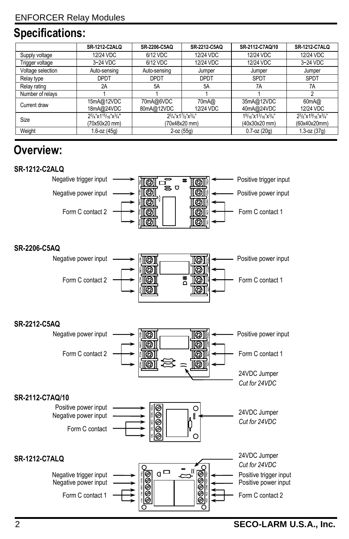# **Specifications:**

|                   | <b>SR-1212-C2ALQ</b>                                                                             | SR-2206-C5AQ            | SR-2212-C5AQ                                                | SR-2112-C7AQ/10                                | <b>SR-1212-C7ALQ</b>                                                                        |
|-------------------|--------------------------------------------------------------------------------------------------|-------------------------|-------------------------------------------------------------|------------------------------------------------|---------------------------------------------------------------------------------------------|
| Supply voltage    | 12/24 VDC                                                                                        | 6/12 VDC                | 12/24 VDC                                                   | 12/24 VDC                                      | 12/24 VDC                                                                                   |
| Trigger voltage   | 3~24 VDC                                                                                         | 6/12 VDC                | 12/24 VDC                                                   | 12/24 VDC                                      | 3~24 VDC                                                                                    |
| Voltage selection | Auto-sensing                                                                                     | Auto-sensing            | Jumper                                                      | Jumper                                         | Jumper                                                                                      |
| Relay type        | <b>DPDT</b>                                                                                      | <b>DPDT</b>             | <b>DPDT</b>                                                 | <b>SPDT</b>                                    | <b>SPDT</b>                                                                                 |
| Relay rating      | 2A                                                                                               | 5A                      | 5A                                                          | 7A                                             | 7A                                                                                          |
| Number of relays  |                                                                                                  |                         |                                                             |                                                |                                                                                             |
| Current draw      | 15mA@12VDC<br>18mA@24VDC                                                                         | 70mA@6VDC<br>80mA@12VDC | 70mA@<br>12/24 VDC                                          | 35mA@12VDC<br>40mA@24VDC                       | 60mA@<br>12/24 VDC                                                                          |
| Size              | $2^{3}/_{4}$ "x1 <sup>15</sup> / <sub>16</sub> "x <sup>3</sup> / <sub>4</sub> "<br>(70x50x20 mm) |                         | $2^{3}/_{4}$ "x1 $7/_{8}$ "x $^{3}/_{4}$ "<br>(70x48x20 mm) | $19/16$ "x $13/16$ "x $3/4$ "<br>(40x30x20 mm) | $2^{3}/8$ "x1 <sup>9</sup> / <sub>16</sub> "x <sup>3</sup> / <sub>4</sub> "<br>(60x40x20mm) |
| Weight            | $1.6 - oz (45q)$                                                                                 |                         | $2-oz(55q)$                                                 | $0.7 - oz(20q)$                                | $1.3 - oz (37q)$                                                                            |

# **Overview:**

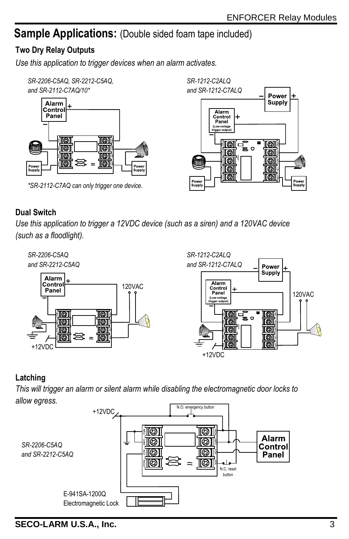Power Supply

ioi

|[@]

ioi

íði

ioi

Power<br>Supply

## **Sample Applications:** (Double sided foam tape included)

#### **Two Dry Relay Outputs**

*Use this application to trigger devices when an alarm activates.*



*\*SR-2112-C7AQ can only trigger one device.*



*Use this application to trigger a 12VDC device (such as a siren) and a 120VAC device (such as a floodlight).*



*SR-1212-C2ALQ and SR-1212-C7ALQ*

w

Power<br>Supply

Alarm

Control 4 Panel (Low-voltage soer out

loid

10)

TØ1

<u>tol</u>

10

.<br>ප

#### **Latching**

*This will trigger an alarm or silent alarm while disabling the electromagnetic door locks to allow egress.*



**SECO-LARM U.S.A., Inc.**  $\frac{3}{3}$